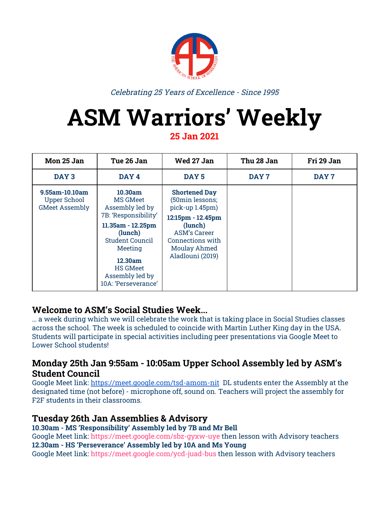

Celebrating 25 Years of Excellence - Since 1995

## **ASM Warriors' Weekly**

**25 Jan 2021**

| Mon 25 Jan                                                     | Tue 26 Jan                                                                                                                                                                                                  | Wed 27 Jan                                                                                                                                                                | Thu 28 Jan | Fri 29 Jan |
|----------------------------------------------------------------|-------------------------------------------------------------------------------------------------------------------------------------------------------------------------------------------------------------|---------------------------------------------------------------------------------------------------------------------------------------------------------------------------|------------|------------|
| DAY <sub>3</sub>                                               | DAY <sub>4</sub>                                                                                                                                                                                            | DAY <sub>5</sub>                                                                                                                                                          | DAY 7      | DAY 7      |
| 9.55am-10.10am<br><b>Upper School</b><br><b>GMeet Assembly</b> | 10.30am<br><b>MS GMeet</b><br>Assembly led by<br>7B: 'Responsibility'<br>11.35am - 12.25pm<br>(lunch)<br>Student Council<br>Meeting<br>12.30am<br><b>HS GMeet</b><br>Assembly led by<br>10A: 'Perseverance' | <b>Shortened Day</b><br>(50min lessons;<br>pick-up 1.45pm)<br>12:15pm - 12.45pm<br>(lunch)<br><b>ASM's Career</b><br>Connections with<br>Moulay Ahmed<br>Aladlouni (2019) |            |            |

### **Welcome to ASM's Social Studies Week...**

… a week during which we will celebrate the work that is taking place in Social Studies classes across the school. The week is scheduled to coincide with Martin Luther King day in the USA. Students will participate in special activities including peer presentations via Google Meet to Lower School students!

### **Monday 25th Jan 9:55am - 10:05am Upper School Assembly led by ASM's Student Council**

Google Meet link: <https://meet.google.com/tsd-amom-nit> DL students enter the Assembly at the designated time (not before) - microphone off, sound on. Teachers will project the assembly for F2F students in their classrooms.

### **Tuesday 26th Jan Assemblies & Advisory**

**10.30am - MS 'Re[s](https://meet.google.com/sbz-gyxw-uye)ponsibility' Assembly led by 7B and Mr Bell** Google Meet link: <https://meet.google.com/sbz-gyxw-uye> then lesson with Advisory teachers **12.30am - HS 'Pe[rs](https://meet.google.com/ycd-juad-bus)everance' Assembly led by 10A and Ms Young** Google Meet link: <https://meet.google.com/ycd-juad-bus> then lesson with Advisory teachers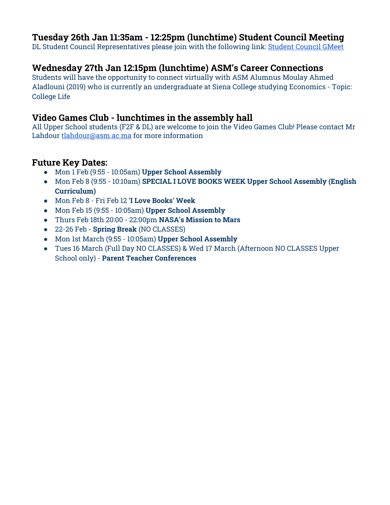### **Tuesday 26th Jan 11:35am - 12:25pm (lunchtime) Student Council Meeting**

DL Student Council Representatives please join with the following link: [Student](https://meet.google.com/tqs-pozb-yav) Council GMeet

### **Wednesday 27th Jan 12:15pm (lunchtime) ASM's Career Connections**

Students will have the opportunity to connect virtually with ASM Alumnus Moulay Ahmed Aladlouni (2019) who is currently an undergraduate at Siena College studying Economics - Topic: College Life

### **Video Games Club - lunchtimes in the assembly hall**

All Upper School students (F2F & DL) are welcome to join the Video Games Club! Please contact Mr Lahdour [tlahdour@asm.ac.ma](mailto:tlahdour@asm.ac.ma) for more information

### **Future Key Dates:**

- Mon 1 Feb (9:55 10:05am) **Upper School Assembly**
- Mon Feb 8 (9:55 10:10am) **SPECIAL I LOVE BOOKS WEEK Upper School Assembly (English Curriculum)**
- Mon Feb 8 Fri Feb 12 **'I Love Books' Week**
- Mon Feb 15 (9:55 10:05am) **Upper School Assembly**
- Thurs Feb 18th 20:00 22:00pm **NASA's Mission to Mars**
- 22-26 Feb **Spring Break** (NO CLASSES)
- Mon 1st March (9:55 10:05am) **Upper School Assembly**
- Tues 16 March (Full Day NO CLASSES) & Wed 17 March (Afternoon NO CLASSES Upper School only) - **Parent Teacher Conferences**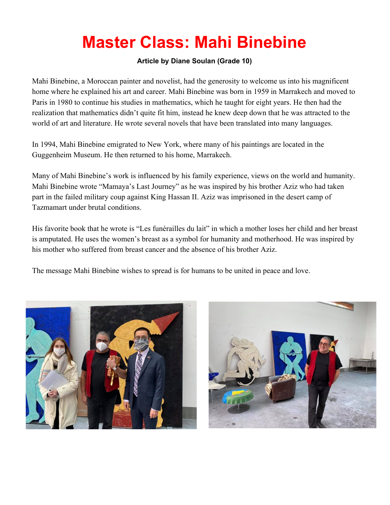### **Master Class: Mahi Binebine**

### **Article by Diane Soulan (Grade 10)**

Mahi Binebine, a Moroccan painter and novelist, had the generosity to welcome us into his magnificent home where he explained his art and career. Mahi Binebine was born in 1959 in Marrakech and moved to Paris in 1980 to continue his studies in mathematics, which he taught for eight years. He then had the realization that mathematics didn't quite fit him, instead he knew deep down that he was attracted to the world of art and literature. He wrote several novels that have been translated into many languages.

In 1994, Mahi Binebine emigrated to New York, where many of his paintings are located in the Guggenheim Museum. He then returned to his home, Marrakech.

Many of Mahi Binebine's work is influenced by his family experience, views on the world and humanity. Mahi Binebine wrote "Mamaya's Last Journey" as he was inspired by his brother Aziz who had taken part in the failed military coup against King Hassan II. Aziz was imprisoned in the desert camp of Tazmamart under brutal conditions.

His favorite book that he wrote is "Les funérailles du lait" in which a mother loses her child and her breast is amputated. He uses the women's breast as a symbol for humanity and motherhood. He was inspired by his mother who suffered from breast cancer and the absence of his brother Aziz.

The message Mahi Binebine wishes to spread is for humans to be united in peace and love.



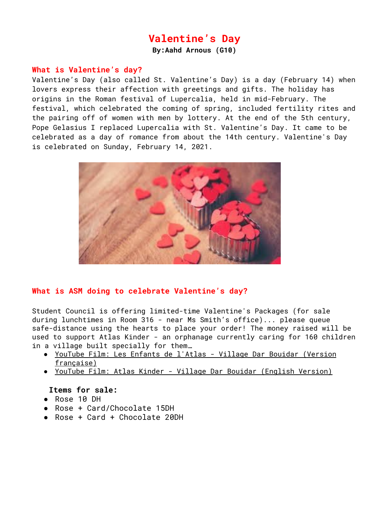### **Valentine's Day**

**By:Aahd Arnous (G10)**

#### **What is Valentine's day?**

Valentine's Day (also called St. Valentine's Day) is a [day](https://www.britannica.com/topic/holiday) (February 14) when lovers express their affection with greetings and gifts. The holiday has origins in the Roman festival of [Lupercalia](https://www.britannica.com/topic/Lupercalia), held in mid-February. The festival, which celebrated the coming of spring, included fertility rites and the pairing off of women with men by lottery. At the end of the 5th century, Pope [Gelasius](https://www.britannica.com/biography/Saint-Gelasius-I) I replaced Lupercalia with St. Valentine's Day. It came to be celebrated as a day of romance from about the 14th century. Valentine's Day is celebrated on Sunday, February 14, 2021.



### **What is ASM doing to celebrate Valentine's day?**

Student Council is offering limited-time Valentine's Packages (for sale during lunchtimes in Room 316 - near Ms Smith's office)... please queue safe-distance using the hearts to place your order! The money raised will be used to support Atlas Kinder - an orphanage currently caring for 160 children in a village built specially for them…

- YouTube Film: Les Enfants de l'Atlas Village Dar Bouidar [\(Version](https://youtu.be/QpmaX-xYg9Y) [française\)](https://youtu.be/QpmaX-xYg9Y)
- YouTube Film: Atlas Kinder Village Dar Bouidar [\(English](https://www.youtube.com/watch?v=EX2lADHXMW0) Version)

#### **Items for sale:**

- Rose 10 DH
- Rose + Card/Chocolate 15DH
- Rose + Card + Chocolate 20DH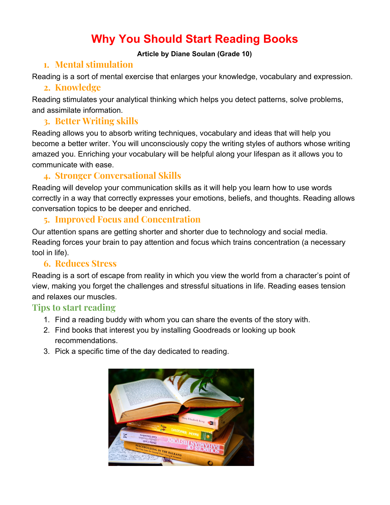### **Why You Should Start Reading Books**

### **Article by Diane Soulan (Grade 10)**

### **1. Mental stimulation**

Reading is a sort of mental exercise that enlarges your knowledge, vocabulary and expression.

### **2. Knowledge**

Reading stimulates your analytical thinking which helps you detect patterns, solve problems, and assimilate information.

### **3. Better Writing skills**

Reading allows you to absorb writing techniques, vocabulary and ideas that will help you become a better writer. You will unconsciously copy the writing styles of authors whose writing amazed you. Enriching your vocabulary will be helpful along your lifespan as it allows you to communicate with ease.

### **4. Stronger Conversational Skills**

Reading will develop your communication skills as it will help you learn how to use words correctly in a way that correctly expresses your emotions, beliefs, and thoughts. Reading allows conversation topics to be deeper and enriched.

### **5. Improved Focus and Concentration**

Our attention spans are getting shorter and shorter due to technology and social media. Reading forces your brain to pay attention and focus which trains concentration (a necessary tool in life).

### **6. Reduces Stress**

Reading is a sort of escape from reality in which you view the world from a character's point of view, making you forget the challenges and stressful situations in life. Reading eases tension and relaxes our muscles.

### **Tips to start reading**

- 1. Find a reading buddy with whom you can share the events of the story with.
- 2. Find books that interest you by installing Goodreads or looking up book recommendations.
- 3. Pick a specific time of the day dedicated to reading.